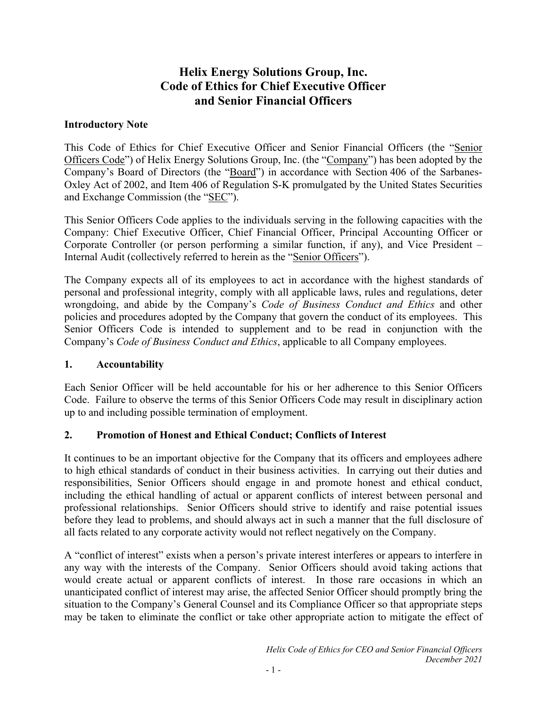# **Helix Energy Solutions Group, Inc. Code of Ethics for Chief Executive Officer and Senior Financial Officers**

#### **Introductory Note**

This Code of Ethics for Chief Executive Officer and Senior Financial Officers (the "Senior Officers Code") of Helix Energy Solutions Group, Inc. (the "Company") has been adopted by the Company's Board of Directors (the "Board") in accordance with Section 406 of the Sarbanes-Oxley Act of 2002, and Item 406 of Regulation S-K promulgated by the United States Securities and Exchange Commission (the "SEC").

This Senior Officers Code applies to the individuals serving in the following capacities with the Company: Chief Executive Officer, Chief Financial Officer, Principal Accounting Officer or Corporate Controller (or person performing a similar function, if any), and Vice President – Internal Audit (collectively referred to herein as the "Senior Officers").

The Company expects all of its employees to act in accordance with the highest standards of personal and professional integrity, comply with all applicable laws, rules and regulations, deter wrongdoing, and abide by the Company's *Code of Business Conduct and Ethics* and other policies and procedures adopted by the Company that govern the conduct of its employees. This Senior Officers Code is intended to supplement and to be read in conjunction with the Company's *Code of Business Conduct and Ethics*, applicable to all Company employees.

#### **1. Accountability**

Each Senior Officer will be held accountable for his or her adherence to this Senior Officers Code. Failure to observe the terms of this Senior Officers Code may result in disciplinary action up to and including possible termination of employment.

## **2. Promotion of Honest and Ethical Conduct; Conflicts of Interest**

It continues to be an important objective for the Company that its officers and employees adhere to high ethical standards of conduct in their business activities. In carrying out their duties and responsibilities, Senior Officers should engage in and promote honest and ethical conduct, including the ethical handling of actual or apparent conflicts of interest between personal and professional relationships. Senior Officers should strive to identify and raise potential issues before they lead to problems, and should always act in such a manner that the full disclosure of all facts related to any corporate activity would not reflect negatively on the Company.

A "conflict of interest" exists when a person's private interest interferes or appears to interfere in any way with the interests of the Company. Senior Officers should avoid taking actions that would create actual or apparent conflicts of interest. In those rare occasions in which an unanticipated conflict of interest may arise, the affected Senior Officer should promptly bring the situation to the Company's General Counsel and its Compliance Officer so that appropriate steps may be taken to eliminate the conflict or take other appropriate action to mitigate the effect of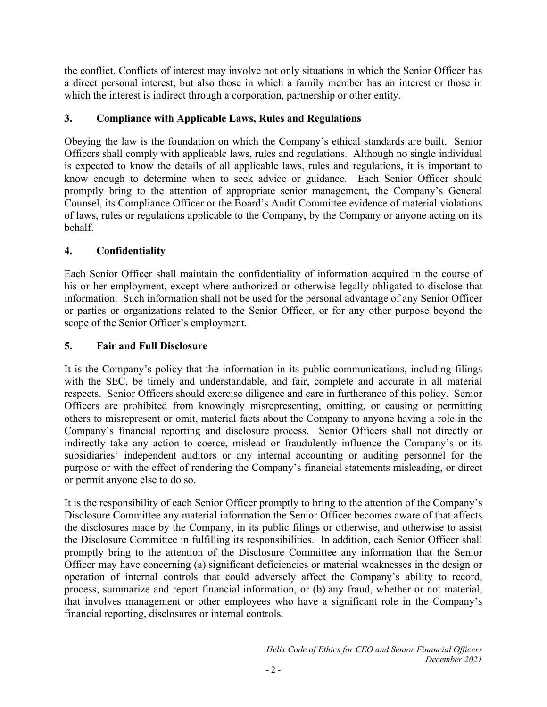the conflict. Conflicts of interest may involve not only situations in which the Senior Officer has a direct personal interest, but also those in which a family member has an interest or those in which the interest is indirect through a corporation, partnership or other entity.

## **3. Compliance with Applicable Laws, Rules and Regulations**

Obeying the law is the foundation on which the Company's ethical standards are built. Senior Officers shall comply with applicable laws, rules and regulations. Although no single individual is expected to know the details of all applicable laws, rules and regulations, it is important to know enough to determine when to seek advice or guidance. Each Senior Officer should promptly bring to the attention of appropriate senior management, the Company's General Counsel, its Compliance Officer or the Board's Audit Committee evidence of material violations of laws, rules or regulations applicable to the Company, by the Company or anyone acting on its behalf.

## **4. Confidentiality**

Each Senior Officer shall maintain the confidentiality of information acquired in the course of his or her employment, except where authorized or otherwise legally obligated to disclose that information. Such information shall not be used for the personal advantage of any Senior Officer or parties or organizations related to the Senior Officer, or for any other purpose beyond the scope of the Senior Officer's employment.

## **5. Fair and Full Disclosure**

It is the Company's policy that the information in its public communications, including filings with the SEC, be timely and understandable, and fair, complete and accurate in all material respects. Senior Officers should exercise diligence and care in furtherance of this policy. Senior Officers are prohibited from knowingly misrepresenting, omitting, or causing or permitting others to misrepresent or omit, material facts about the Company to anyone having a role in the Company's financial reporting and disclosure process. Senior Officers shall not directly or indirectly take any action to coerce, mislead or fraudulently influence the Company's or its subsidiaries' independent auditors or any internal accounting or auditing personnel for the purpose or with the effect of rendering the Company's financial statements misleading, or direct or permit anyone else to do so.

It is the responsibility of each Senior Officer promptly to bring to the attention of the Company's Disclosure Committee any material information the Senior Officer becomes aware of that affects the disclosures made by the Company, in its public filings or otherwise, and otherwise to assist the Disclosure Committee in fulfilling its responsibilities. In addition, each Senior Officer shall promptly bring to the attention of the Disclosure Committee any information that the Senior Officer may have concerning (a) significant deficiencies or material weaknesses in the design or operation of internal controls that could adversely affect the Company's ability to record, process, summarize and report financial information, or (b) any fraud, whether or not material, that involves management or other employees who have a significant role in the Company's financial reporting, disclosures or internal controls.